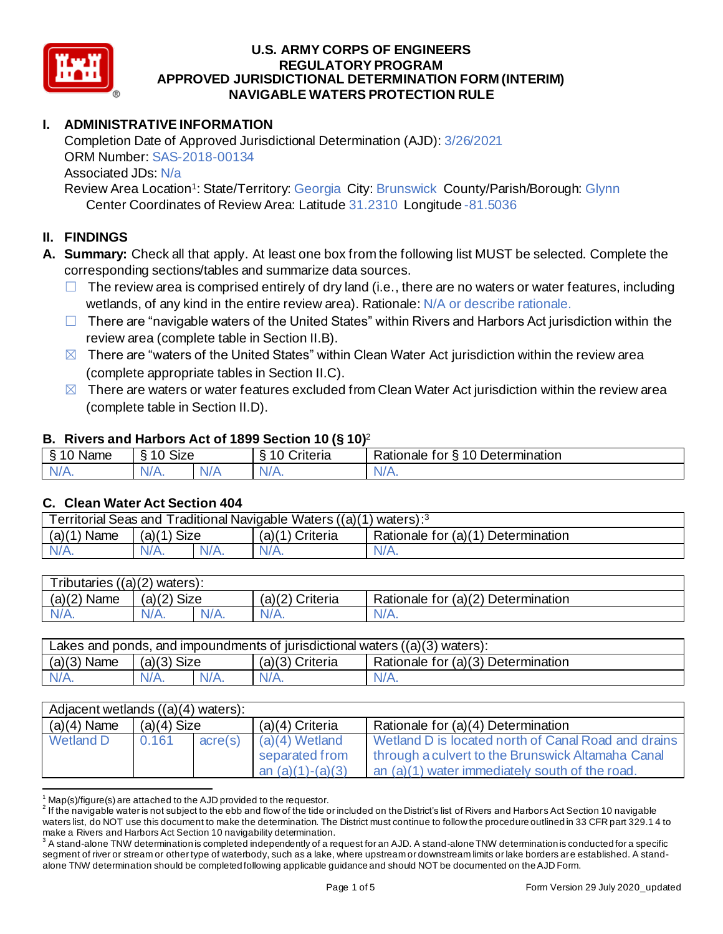

# **I. ADMINISTRATIVE INFORMATION**

 Completion Date of Approved Jurisdictional Determination (AJD): 3/26/2021 ORM Number: SAS-2018-00134 Associated JDs: N/a

Review Area Location<sup>1</sup>: State/Territory: Georgia City: Brunswick County/Parish/Borough: Glynn Center Coordinates of Review Area: Latitude 31.2310 Longitude -81.5036

## **II. FINDINGS**

- **A. Summary:** Check all that apply. At least one box from the following list MUST be selected. Complete the corresponding sections/tables and summarize data sources.
	- $\Box$  The review area is comprised entirely of dry land (i.e., there are no waters or water features, including wetlands, of any kind in the entire review area). Rationale: N/A or describe rationale.
	- □ There are "navigable waters of the United States" within Rivers and Harbors Act jurisdiction within the review area (complete table in Section II.B).
	- $\boxtimes$  There are "waters of the United States" within Clean Water Act jurisdiction within the review area (complete appropriate tables in Section II.C).
	- $\boxtimes$  There are waters or water features excluded from Clean Water Act jurisdiction within the review area (complete table in Section II.D).

### **B. Rivers and Harbors Act of 1899 Section 10 (§ 10)**<sup>2</sup>

|                     |                                        |     | $\cdot$            |                                           |
|---------------------|----------------------------------------|-----|--------------------|-------------------------------------------|
| ደ 1 በ<br>Name       | $\sim$ $\sim$ $\sim$<br>$\sim$<br>ט∠וכ |     | ∶rıteria           | 10 Determination<br>Rationale<br>tor<br>↷ |
| N/L<br>$\mathbf{N}$ | $1/\Lambda$<br>V/A.                    | V/t | N.<br>$\mathbf{v}$ | N.<br>11 L L                              |
|                     |                                        |     |                    |                                           |

## **C. Clean Water Act Section 404**

| Territorial Seas and Traditional Navigable Waters $((a)(1)$ waters): <sup>3</sup> |               |  |                 |                                    |  |  |
|-----------------------------------------------------------------------------------|---------------|--|-----------------|------------------------------------|--|--|
| $(a)(1)$ Name                                                                     | $(a)(1)$ Size |  | (a)(1) Criteria | Rationale for (a)(1) Determination |  |  |
| $N/A$ .                                                                           | $N/A$ .       |  | $N/A$ .         | $N/A$ .                            |  |  |
|                                                                                   |               |  |                 |                                    |  |  |

| Tributaries $((a)(2)$ waters): |                |         |                 |                                    |  |  |
|--------------------------------|----------------|---------|-----------------|------------------------------------|--|--|
| $(a)(2)$ Name                  | Size<br>(a)(2) |         | (a)(2) Criteria | Rationale for (a)(2) Determination |  |  |
| N/A.                           | $N/A$ .        | $N/A$ . | $N/A$ .         | ٧A.                                |  |  |
|                                |                |         |                 |                                    |  |  |

| Lakes and ponds, and impoundments of jurisdictional waters $((a)(3)$ waters): |               |         |                   |                                    |  |  |
|-------------------------------------------------------------------------------|---------------|---------|-------------------|------------------------------------|--|--|
| $(a)(3)$ Name                                                                 | $(a)(3)$ Size |         | $(a)(3)$ Criteria | Rationale for (a)(3) Determination |  |  |
| $N/A$ .                                                                       | $N/A$ .       | $N/A$ . | $N/A$ .           | $N/A$ .                            |  |  |

| Adjacent wetlands ((a)(4) waters): |               |         |                                                          |                                                                                                                                                            |  |
|------------------------------------|---------------|---------|----------------------------------------------------------|------------------------------------------------------------------------------------------------------------------------------------------------------------|--|
| $(a)(4)$ Name                      | $(a)(4)$ Size |         | (a)(4) Criteria                                          | Rationale for (a)(4) Determination                                                                                                                         |  |
| <b>Wetland D</b>                   | 0.161         | acre(s) | $(a)(4)$ Wetland<br>separated from<br>an $(a)(1)-(a)(3)$ | Wetland D is located north of Canal Road and drains<br>through a culvert to the Brunswick Altamaha Canal<br>an (a)(1) water immediately south of the road. |  |

 $1$  Map(s)/figure(s) are attached to the AJD provided to the requestor.

 $^2$  If the navigable water is not subject to the ebb and flow of the tide or included on the District's list of Rivers and Harbors Act Section 10 navigable waters list, do NOT use this document to make the determination. The District must continue to follow the procedure outlined in 33 CFR part 329.1 4 to make a Rivers and Harbors Act Section 10 navigability determination.

 $^3$  A stand-alone TNW determination is completed independently of a request for an AJD. A stand-alone TNW determination is conducted for a specific segment of river or stream or other type of waterbody, such as a lake, where upstream or downstream limits or lake borders are established. A stand-alone TNW determination should be completed following applicable guidance and should NOT be documented on the AJD Form.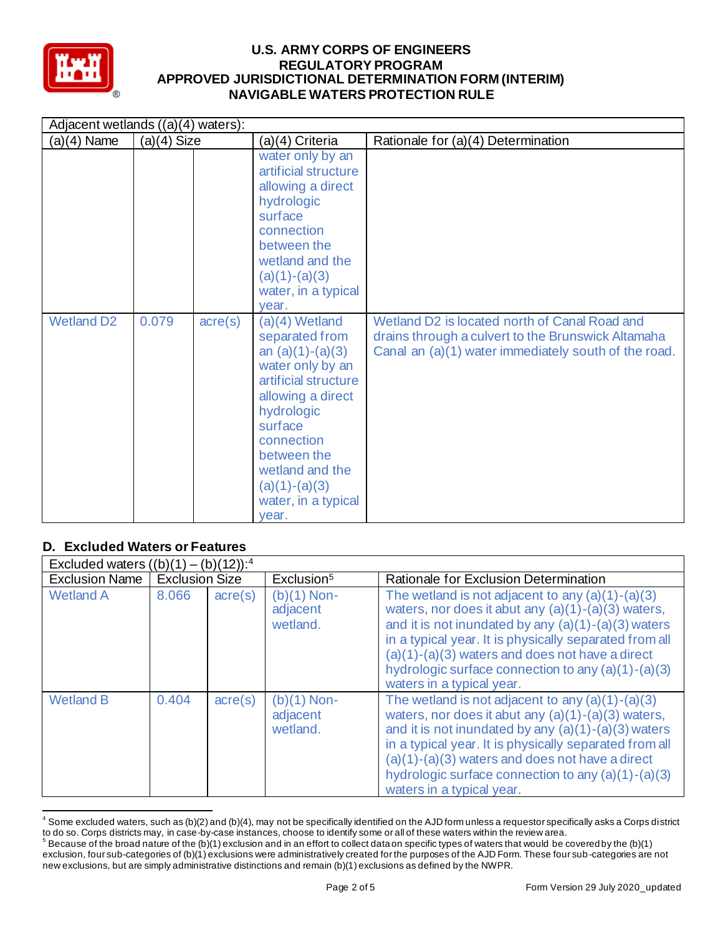

| Adjacent wetlands ((a)(4) waters): |               |                  |                                                                                                                                                                                                                                                       |                                                                                                                                                             |  |
|------------------------------------|---------------|------------------|-------------------------------------------------------------------------------------------------------------------------------------------------------------------------------------------------------------------------------------------------------|-------------------------------------------------------------------------------------------------------------------------------------------------------------|--|
| $(a)(4)$ Name                      | $(a)(4)$ Size |                  | (a)(4) Criteria                                                                                                                                                                                                                                       | Rationale for (a)(4) Determination                                                                                                                          |  |
|                                    |               |                  | water only by an<br>artificial structure<br>allowing a direct<br>hydrologic<br>surface<br>connection<br>between the<br>wetland and the<br>$(a)(1)-(a)(3)$<br>water, in a typical<br>year.                                                             |                                                                                                                                                             |  |
| <b>Wetland D2</b>                  | 0.079         | $\text{acre}(s)$ | $(a)(4)$ Wetland<br>separated from<br>an $(a)(1)-(a)(3)$<br>water only by an<br>artificial structure<br>allowing a direct<br>hydrologic<br>surface<br>connection<br>between the<br>wetland and the<br>$(a)(1)-(a)(3)$<br>water, in a typical<br>year. | Wetland D2 is located north of Canal Road and<br>drains through a culvert to the Brunswick Altamaha<br>Canal an (a)(1) water immediately south of the road. |  |

# **D. Excluded Waters or Features**

| Excluded waters $((b)(1) - (b)(12))$ : <sup>4</sup> |                       |                  |                                       |                                                                                                                                                                                                                                                                                                                                                                       |  |
|-----------------------------------------------------|-----------------------|------------------|---------------------------------------|-----------------------------------------------------------------------------------------------------------------------------------------------------------------------------------------------------------------------------------------------------------------------------------------------------------------------------------------------------------------------|--|
| <b>Exclusion Name</b>                               | <b>Exclusion Size</b> |                  | Exclusion <sup>5</sup>                | Rationale for Exclusion Determination                                                                                                                                                                                                                                                                                                                                 |  |
| <b>Wetland A</b>                                    | 8.066                 | $\text{acre}(s)$ | $(b)(1)$ Non-<br>adjacent<br>wetland. | The wetland is not adjacent to any $(a)(1)-(a)(3)$<br>waters, nor does it abut any $(a)(1)-(a)(3)$ waters,<br>and it is not inundated by any $(a)(1)-(a)(3)$ waters<br>in a typical year. It is physically separated from all<br>$(a)(1)-(a)(3)$ waters and does not have a direct<br>hydrologic surface connection to any (a)(1)-(a)(3)<br>waters in a typical year. |  |
| <b>Wetland B</b>                                    | 0.404                 | $\text{acre}(s)$ | $(b)(1)$ Non-<br>adjacent<br>wetland. | The wetland is not adjacent to any $(a)(1)-(a)(3)$<br>waters, nor does it abut any (a)(1)-(a)(3) waters,<br>and it is not inundated by any $(a)(1)-(a)(3)$ waters<br>in a typical year. It is physically separated from all<br>$(a)(1)-(a)(3)$ waters and does not have a direct<br>hydrologic surface connection to any (a)(1)-(a)(3)<br>waters in a typical year.   |  |

 $^4$  Some excluded waters, such as (b)(2) and (b)(4), may not be specifically identified on the AJD form unless a requestor specifically asks a Corps district to do so. Corps districts may, in case-by-case instances, choose to identify some or all of these waters within the review area. to do so. Corps districts may, in case-by-case instances, choose to identify some or all of these waters within the review area.<br><sup>5</sup> Because of the broad nature of the (b)(1) exclusion and in an effort to collect dataon sp

 exclusion, four sub-categories of (b)(1) exclusions were administratively created for the purposes of the AJD Form. These four sub -categories are not new exclusions, but are simply administrative distinctions and remain (b)(1) exclusions as defined by the NWPR.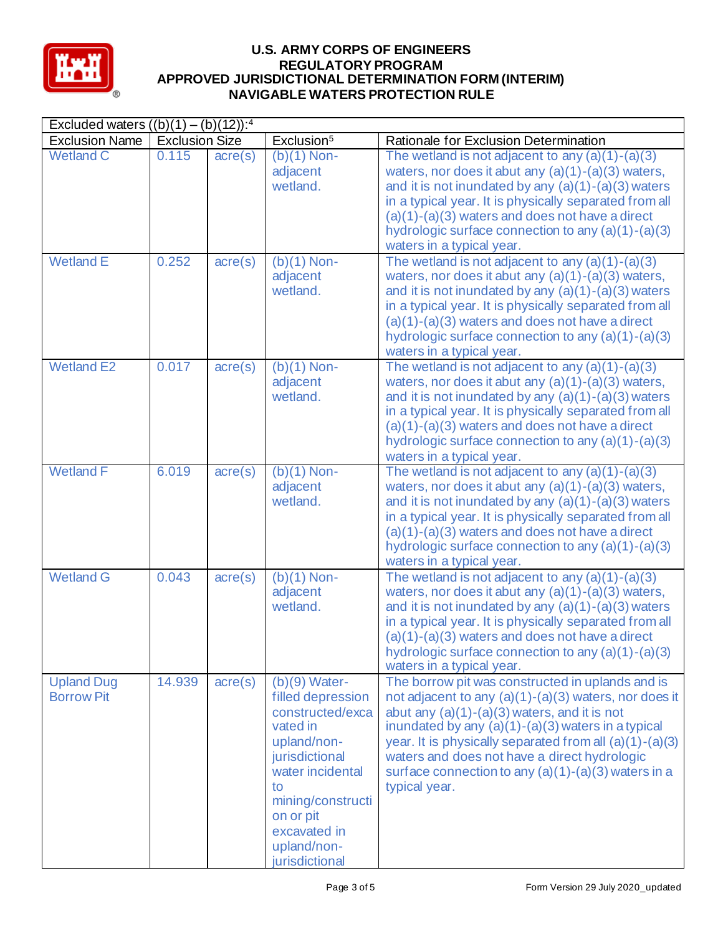

#### **U.S. ARMY CORPS OF ENGINEERS REGULATORY PROGRAM APPROVED JURISDICTIONAL DETERMINATION FORM (INTERIM) NAVIGABLE WATERS PROTECTION RULE**

| Excluded waters $((b)(1) - (b)(12))$ : <sup>4</sup> |                       |                  |                                                                                                                                                                                                                    |                                                                                                                                                                                                                                                                                                                                                                                                          |
|-----------------------------------------------------|-----------------------|------------------|--------------------------------------------------------------------------------------------------------------------------------------------------------------------------------------------------------------------|----------------------------------------------------------------------------------------------------------------------------------------------------------------------------------------------------------------------------------------------------------------------------------------------------------------------------------------------------------------------------------------------------------|
| <b>Exclusion Name</b>                               | <b>Exclusion Size</b> |                  | Exclusion <sup>5</sup>                                                                                                                                                                                             | Rationale for Exclusion Determination                                                                                                                                                                                                                                                                                                                                                                    |
| <b>Wetland C</b>                                    | 0.115                 | $\text{acre}(s)$ | $(b)(1)$ Non-<br>adjacent<br>wetland.                                                                                                                                                                              | The wetland is not adjacent to any $(a)(1)-(a)(3)$<br>waters, nor does it abut any $(a)(1)-(a)(3)$ waters,<br>and it is not inundated by any $(a)(1)-(a)(3)$ waters<br>in a typical year. It is physically separated from all<br>$(a)(1)-(a)(3)$ waters and does not have a direct<br>hydrologic surface connection to any $(a)(1)-(a)(3)$<br>waters in a typical year.                                  |
| <b>Wetland E</b>                                    | 0.252                 | $\text{acre}(s)$ | $(b)(1)$ Non-<br>adjacent<br>wetland.                                                                                                                                                                              | The wetland is not adjacent to any $(a)(1)-(a)(3)$<br>waters, nor does it abut any $(a)(1)-(a)(3)$ waters,<br>and it is not inundated by any $(a)(1)-(a)(3)$ waters<br>in a typical year. It is physically separated from all<br>$(a)(1)-(a)(3)$ waters and does not have a direct<br>hydrologic surface connection to any (a)(1)-(a)(3)<br>waters in a typical year.                                    |
| <b>Wetland E2</b>                                   | 0.017                 | $\text{acre}(s)$ | $(b)(1)$ Non-<br>adjacent<br>wetland.                                                                                                                                                                              | The wetland is not adjacent to any $(a)(1)-(a)(3)$<br>waters, nor does it abut any $(a)(1)-(a)(3)$ waters,<br>and it is not inundated by any $(a)(1)-(a)(3)$ waters<br>in a typical year. It is physically separated from all<br>$(a)(1)-(a)(3)$ waters and does not have a direct<br>hydrologic surface connection to any $(a)(1)-(a)(3)$<br>waters in a typical year.                                  |
| <b>Wetland F</b>                                    | 6.019                 | $\text{acre}(s)$ | $(b)(1)$ Non-<br>adjacent<br>wetland.                                                                                                                                                                              | The wetland is not adjacent to any $(a)(1)-(a)(3)$<br>waters, nor does it abut any $(a)(1)-(a)(3)$ waters,<br>and it is not inundated by any (a)(1)-(a)(3) waters<br>in a typical year. It is physically separated from all<br>$(a)(1)-(a)(3)$ waters and does not have a direct<br>hydrologic surface connection to any $(a)(1)-(a)(3)$<br>waters in a typical year.                                    |
| <b>Wetland G</b>                                    | 0.043                 | $\text{acre}(s)$ | $(b)(1)$ Non-<br>adjacent<br>wetland.                                                                                                                                                                              | The wetland is not adjacent to any $(a)(1)-(a)(3)$<br>waters, nor does it abut any $(a)(1)-(a)(3)$ waters,<br>and it is not inundated by any $(a)(1)-(a)(3)$ waters<br>in a typical year. It is physically separated from all<br>$(a)(1)-(a)(3)$ waters and does not have a direct<br>hydrologic surface connection to any $(a)(1)-(a)(3)$<br>waters in a typical year.                                  |
| <b>Upland Dug</b><br><b>Borrow Pit</b>              | 14.939                | $\text{acre}(s)$ | $(b)(9)$ Water-<br>filled depression<br>constructed/exca<br>vated in<br>upland/non-<br>jurisdictional<br>water incidental<br>to<br>mining/constructi<br>on or pit<br>excavated in<br>upland/non-<br>jurisdictional | The borrow pit was constructed in uplands and is<br>not adjacent to any (a)(1)-(a)(3) waters, nor does it<br>abut any $(a)(1)-(a)(3)$ waters, and it is not<br>inundated by any $(a)(1)-(a)(3)$ waters in a typical<br>year. It is physically separated from all (a)(1)-(a)(3)<br>waters and does not have a direct hydrologic<br>surface connection to any $(a)(1)-(a)(3)$ waters in a<br>typical year. |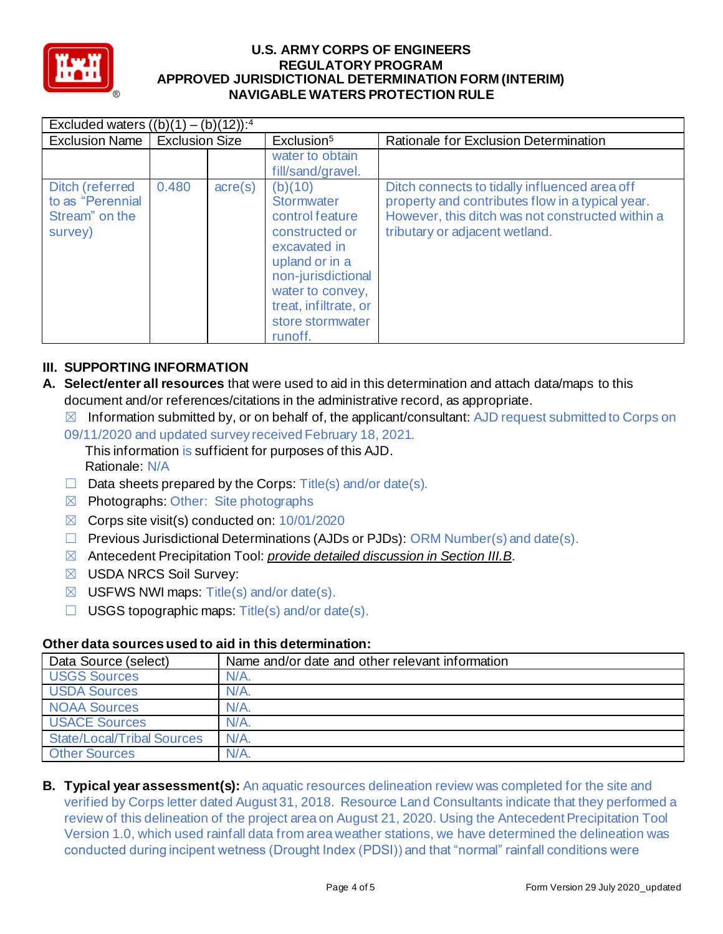

| Excluded waters $((b)(1) - (b)(12))$ : <sup>4</sup>              |                       |                  |                                                                                                                                                                                                       |                                                                                                                                                                                         |  |
|------------------------------------------------------------------|-----------------------|------------------|-------------------------------------------------------------------------------------------------------------------------------------------------------------------------------------------------------|-----------------------------------------------------------------------------------------------------------------------------------------------------------------------------------------|--|
| <b>Exclusion Name</b>                                            | <b>Exclusion Size</b> |                  | Exclusion <sup>5</sup>                                                                                                                                                                                | Rationale for Exclusion Determination                                                                                                                                                   |  |
|                                                                  |                       |                  | water to obtain<br>fill/sand/gravel.                                                                                                                                                                  |                                                                                                                                                                                         |  |
| Ditch (referred<br>to as "Perennial<br>Stream" on the<br>survey) | 0.480                 | $\text{acre}(s)$ | (b)(10)<br><b>Stormwater</b><br>control feature<br>constructed or<br>excavated in<br>upland or in a<br>non-jurisdictional<br>water to convey,<br>treat, infiltrate, or<br>store stormwater<br>runoff. | Ditch connects to tidally influenced area off<br>property and contributes flow in a typical year.<br>However, this ditch was not constructed within a<br>tributary or adjacent wetland. |  |

## **III. SUPPORTING INFORMATION**

- **A. Select/enter all resources** that were used to aid in this determination and attach data/maps to this document and/or references/citations in the administrative record, as appropriate.
	- $\boxtimes$  Information submitted by, or on behalf of, the applicant/consultant: AJD request submitted to Corps on
	- 09/11/2020 and updated survey received February 18, 2021.
		- This information is sufficient for purposes of this AJD. Rationale: N/A
	- $\Box$  Data sheets prepared by the Corps: Title(s) and/or date(s).
	- ☒ Photographs: Other: Site photographs
	- $\boxtimes$  Corps site visit(s) conducted on: 10/01/2020
	- ☐ Previous Jurisdictional Determinations (AJDs or PJDs): ORM Number(s) and date(s).
	- ☒ Antecedent Precipitation Tool: *provide detailed discussion in Section III.B*.
	- ☒ USDA NRCS Soil Survey:
	- $\boxtimes$  USFWS NWI maps: Title(s) and/or date(s).
	- $\Box$  USGS topographic maps: Title(s) and/or date(s).

## **Other data sources used to aid in this determination:**

| Data Source (select)              | Name and/or date and other relevant information |
|-----------------------------------|-------------------------------------------------|
| <b>USGS Sources</b>               | $N/A$ .                                         |
| <b>USDA Sources</b>               | $N/A$ .                                         |
| <b>NOAA Sources</b>               | $N/A$ .                                         |
| <b>USACE Sources</b>              | $N/A$ .                                         |
| <b>State/Local/Tribal Sources</b> | $N/A$ .                                         |
| <b>Other Sources</b>              | $N/A$ .                                         |

**B. Typical year assessment(s):** An aquatic resources delineation review was completed for the site and verified by Corps letter dated August 31, 2018. Resource Land Consultants indicate that they performed a review of this delineation of the project area on August 21, 2020. Using the Antecedent Precipitation Tool Version 1.0, which used rainfall data from area weather stations, we have determined the delineation was conducted during incipent wetness (Drought Index (PDSI)) and that "normal" rainfall conditions were